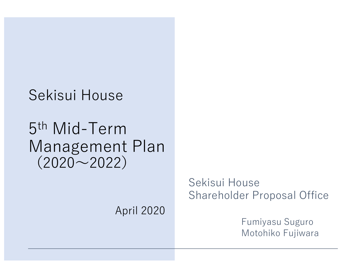### Sekisui House

### 5th Mid-Term Management Plan  $(2020 - 2022)$

April 2020

Sekisui House Shareholder Proposal Office

> Fumiyasu Suguro Motohiko Fujiwara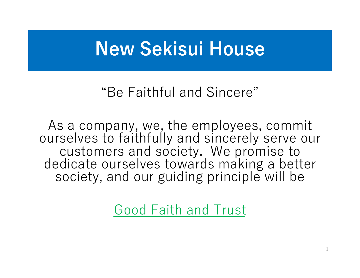# **New Sekisui House**

"Be Faithful and Sincere"

As a company, we, the employees, commit ourselves to faithfully and sincerely serve our customers and society. We promise to dedicate ourselves towards making a better society, and our guiding principle will be

Good Faith and Trust

1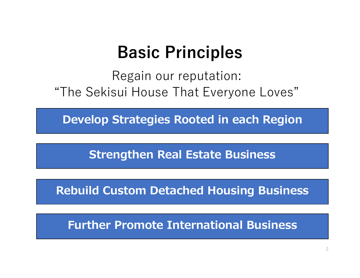# **Basic Principles**

Regain our reputation: "The Sekisui House That Everyone Loves"

**Develop Strategies Rooted in each Region**

**Strengthen Real Estate Business**

**Rebuild Custom Detached Housing Business**

**Further Promote International Business**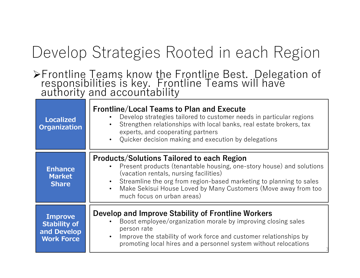# Develop Strategies Rooted in each Region

#### ØFrontline Teams know the Frontline Best. Delegation of responsibilities is key. Frontline Teams will have authority and accountability

| <b>Localized</b><br><b>Organization</b>                                   | <b>Frontline/Local Teams to Plan and Execute</b><br>Develop strategies tailored to customer needs in particular regions<br>Strengthen relationships with local banks, real estate brokers, tax<br>experts, and cooperating partners<br>Quicker decision making and execution by delegations<br>$\bullet$                                     |
|---------------------------------------------------------------------------|----------------------------------------------------------------------------------------------------------------------------------------------------------------------------------------------------------------------------------------------------------------------------------------------------------------------------------------------|
| <b>Enhance</b><br><b>Market</b><br><b>Share</b>                           | <b>Products/Solutions Tailored to each Region</b><br>• Present products (tenantable housing, one-story house) and solutions<br>(vacation rentals, nursing facilities)<br>Streamline the org from region-based marketing to planning to sales<br>Make Sekisui House Loved by Many Customers (Move away from too<br>much focus on urban areas) |
| <b>Improve</b><br><b>Stability of</b><br>and Develop<br><b>Work Force</b> | Develop and Improve Stability of Frontline Workers<br>Boost employee/organization morale by improving closing sales<br>person rate<br>Improve the stability of work force and customer relationships by<br>$\bullet$<br>promoting local hires and a personnel system without relocations                                                     |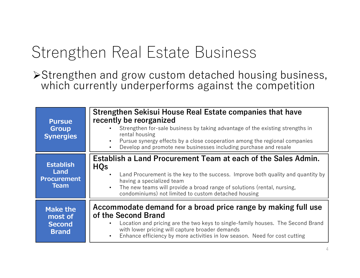# Strengthen Real Estate Business

ØStrengthen and grow custom detached housing business, which currently underperforms against the competition

| <b>Pursue</b><br><b>Group</b><br><b>Synergies</b>             | Strengthen Sekisui House Real Estate companies that have<br>recently be reorganized<br>Strengthen for-sale business by taking advantage of the existing strengths in<br>rental housing<br>Pursue synergy effects by a close cooperation among the regional companies<br>Develop and promote new businesses including purchase and resale<br>$\bullet$ |
|---------------------------------------------------------------|-------------------------------------------------------------------------------------------------------------------------------------------------------------------------------------------------------------------------------------------------------------------------------------------------------------------------------------------------------|
| <b>Establish</b><br>Land<br><b>Procurement</b><br><b>Team</b> | Establish a Land Procurement Team at each of the Sales Admin.<br><b>HOs</b><br>Land Procurement is the key to the success. Improve both quality and quantity by<br>having a specialized team<br>The new teams will provide a broad range of solutions (rental, nursing,<br>condominiums) not limited to custom detached housing                       |
| <b>Make the</b><br>most of<br><b>Second</b><br><b>Brand</b>   | Accommodate demand for a broad price range by making full use<br>of the Second Brand<br>Location and pricing are the two keys to single-family houses. The Second Brand<br>with lower pricing will capture broader demands<br>Enhance efficiency by more activities in low season. Need for cost cutting<br>$\bullet$                                 |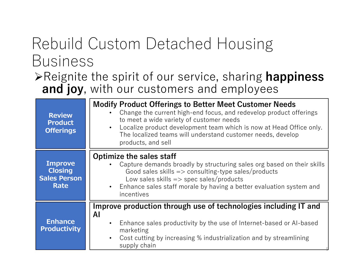## Rebuild Custom Detached Housing Business

#### ØReignite the spirit of our service, sharing **happiness and joy**, with our customers and employees

| <b>Review</b><br><b>Product</b><br><b>Offerings</b>             | <b>Modify Product Offerings to Better Meet Customer Needs</b><br>Change the current high-end focus, and redevelop product offerings<br>to meet a wide variety of customer needs<br>Localize product development team which is now at Head Office only.<br>$\bullet$<br>The localized teams will understand customer needs, develop<br>products, and sell |
|-----------------------------------------------------------------|----------------------------------------------------------------------------------------------------------------------------------------------------------------------------------------------------------------------------------------------------------------------------------------------------------------------------------------------------------|
| <b>Improve</b><br><b>Closing</b><br><b>Sales Person</b><br>Rate | <b>Optimize the sales staff</b><br>Capture demands broadly by structuring sales org based on their skills<br>Good sales skills $\Rightarrow$ consulting-type sales/products<br>Low sales skills $\Rightarrow$ spec sales/products<br>• Enhance sales staff morale by having a better evaluation system and<br>incentives                                 |
| <b>Enhance</b><br><b>Productivity</b>                           | Improve production through use of technologies including IT and<br>Al<br>Enhance sales productivity by the use of Internet-based or AI-based<br>$\bullet$<br>marketing<br>Cost cutting by increasing % industrialization and by streamlining<br>$\bullet$<br>supply chain                                                                                |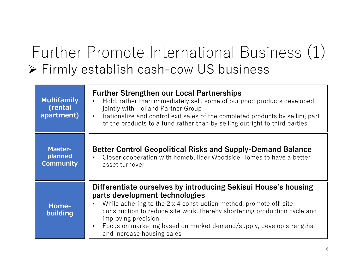## Further Promote International Business (1) Ø Firmly establish cash-cow US business

| <b>Multifamily</b><br>(rental)<br>apartment)  | <b>Further Strengthen our Local Partnerships</b><br>Hold, rather than immediately sell, some of our good products developed<br>$\bullet$<br>jointly with Holland Partner Group<br>Rationalize and control exit sales of the completed products by selling part<br>$\bullet$<br>of the products to a fund rather than by selling outright to third parties                                                 |
|-----------------------------------------------|-----------------------------------------------------------------------------------------------------------------------------------------------------------------------------------------------------------------------------------------------------------------------------------------------------------------------------------------------------------------------------------------------------------|
| <b>Master-</b><br>planned<br><b>Community</b> | <b>Better Control Geopolitical Risks and Supply-Demand Balance</b><br>Closer cooperation with homebuilder Woodside Homes to have a better<br>$\bullet$<br>asset turnover                                                                                                                                                                                                                                  |
| <b>Home-</b><br>building                      | Differentiate ourselves by introducing Sekisui House's housing<br>parts development technologies<br>While adhering to the 2 x 4 construction method, promote off-site<br>$\bullet$<br>construction to reduce site work, thereby shortening production cycle and<br>improving precision<br>Focus on marketing based on market demand/supply, develop strengths,<br>$\bullet$<br>and increase housing sales |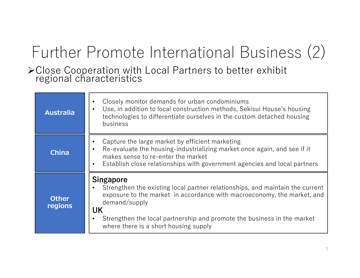# Further Promote International Business (2)

#### ▶ Close Cooperation with Local Partners to better exhibit regional characteristics

| <b>Australia</b>        | Closely monitor demands for urban condominiums<br>Use, in addition to local construction methods, Sekisui House's housing<br>technologies to differentiate ourselves in the custom detached housing<br>business                                                                                                                |
|-------------------------|--------------------------------------------------------------------------------------------------------------------------------------------------------------------------------------------------------------------------------------------------------------------------------------------------------------------------------|
| <b>China</b>            | Capture the large market by efficient marketing<br>Re-evaluate the housing-industrializing market once again, and see if it<br>makes sense to re-enter the market<br>Establish close relationships with government agencies and local partners                                                                                 |
| <b>Other</b><br>regions | <b>Singapore</b><br>Strengthen the existing local partner relationships, and maintain the current<br>exposure to the market in accordance with macroeconomy, the market, and<br>demand/supply<br><b>UK</b><br>Strengthen the local partnership and promote the business in the market<br>where there is a short housing supply |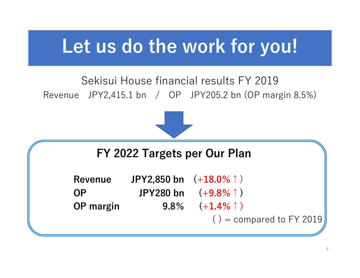# **Let us do the work for you!**

#### Sekisui House financial results FY 2019 Revenue JPY2,415.1 bn / OP JPY205.2 bn (OP margin 8.5%)



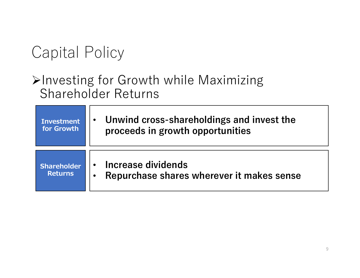# Capital Policy

#### $\blacktriangleright$ Investing for Growth while Maximizing Shareholder Returns

| Investment<br>for Growth | Unwind cross-shareholdings and invest the<br>$\bullet$<br>proceeds in growth opportunities |
|--------------------------|--------------------------------------------------------------------------------------------|
| Shareholder              | Increase dividends                                                                         |
| <b>Returns</b>           | Repurchase shares wherever it makes sense                                                  |